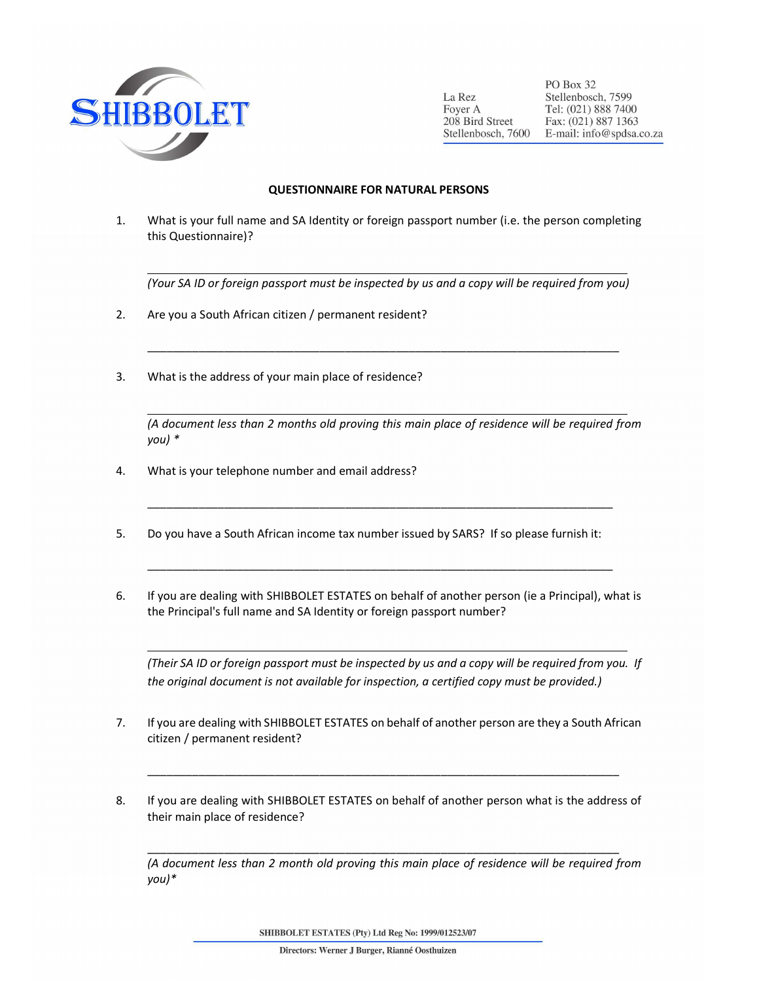

 $\overline{a}$ 

 $\overline{a}$ 

 $\overline{a}$ 

PO Box 32 La Rez Stellenbosch, 7599 Foyer A Tel: (021) 888 7400 208 Bird Street Fax: (021) 887 1363 Stellenbosch, 7600 E-mail: info@spdsa.co.za

## QUESTIONNAIRE FOR NATURAL PERSONS

1. What is your full name and SA Identity or foreign passport number (i.e. the person completing this Questionnaire)?

(Your SA ID or foreign passport must be inspected by us and a copy will be required from you)

\_\_\_\_\_\_\_\_\_\_\_\_\_\_\_\_\_\_\_\_\_\_\_\_\_\_\_\_\_\_\_\_\_\_\_\_\_\_\_\_\_\_\_\_\_\_\_\_\_\_\_\_\_\_\_\_\_\_\_\_\_\_\_\_\_\_\_\_\_\_\_\_\_\_

- 2. Are you a South African citizen / permanent resident?
- 3. What is the address of your main place of residence?

(A document less than 2 months old proving this main place of residence will be required from you) \*

- 4. What is your telephone number and email address?
- 5. Do you have a South African income tax number issued by SARS? If so please furnish it:
- 6. If you are dealing with SHIBBOLET ESTATES on behalf of another person (ie a Principal), what is the Principal's full name and SA Identity or foreign passport number?

\_\_\_\_\_\_\_\_\_\_\_\_\_\_\_\_\_\_\_\_\_\_\_\_\_\_\_\_\_\_\_\_\_\_\_\_\_\_\_\_\_\_\_\_\_\_\_\_\_\_\_\_\_\_\_\_\_\_\_\_\_\_\_\_\_\_\_\_\_\_\_\_\_

\_\_\_\_\_\_\_\_\_\_\_\_\_\_\_\_\_\_\_\_\_\_\_\_\_\_\_\_\_\_\_\_\_\_\_\_\_\_\_\_\_\_\_\_\_\_\_\_\_\_\_\_\_\_\_\_\_\_\_\_\_\_\_\_\_\_\_\_\_\_\_\_\_

(Their SA ID or foreign passport must be inspected by us and a copy will be required from you. If the original document is not available for inspection, a certified copy must be provided.)

- 7. If you are dealing with SHIBBOLET ESTATES on behalf of another person are they a South African citizen / permanent resident?
- 8. If you are dealing with SHIBBOLET ESTATES on behalf of another person what is the address of their main place of residence?

\_\_\_\_\_\_\_\_\_\_\_\_\_\_\_\_\_\_\_\_\_\_\_\_\_\_\_\_\_\_\_\_\_\_\_\_\_\_\_\_\_\_\_\_\_\_\_\_\_\_\_\_\_\_\_\_\_\_\_\_\_\_\_\_\_\_\_\_\_\_\_\_\_\_

\_\_\_\_\_\_\_\_\_\_\_\_\_\_\_\_\_\_\_\_\_\_\_\_\_\_\_\_\_\_\_\_\_\_\_\_\_\_\_\_\_\_\_\_\_\_\_\_\_\_\_\_\_\_\_\_\_\_\_\_\_\_\_\_\_\_\_\_\_\_\_\_\_\_

(A document less than 2 month old proving this main place of residence will be required from you)\*

SHIBBOLET ESTATES (Pty) Ltd Reg No: 1999/012523/07

Directors: Werner J Burger, Rianné Oosthuizen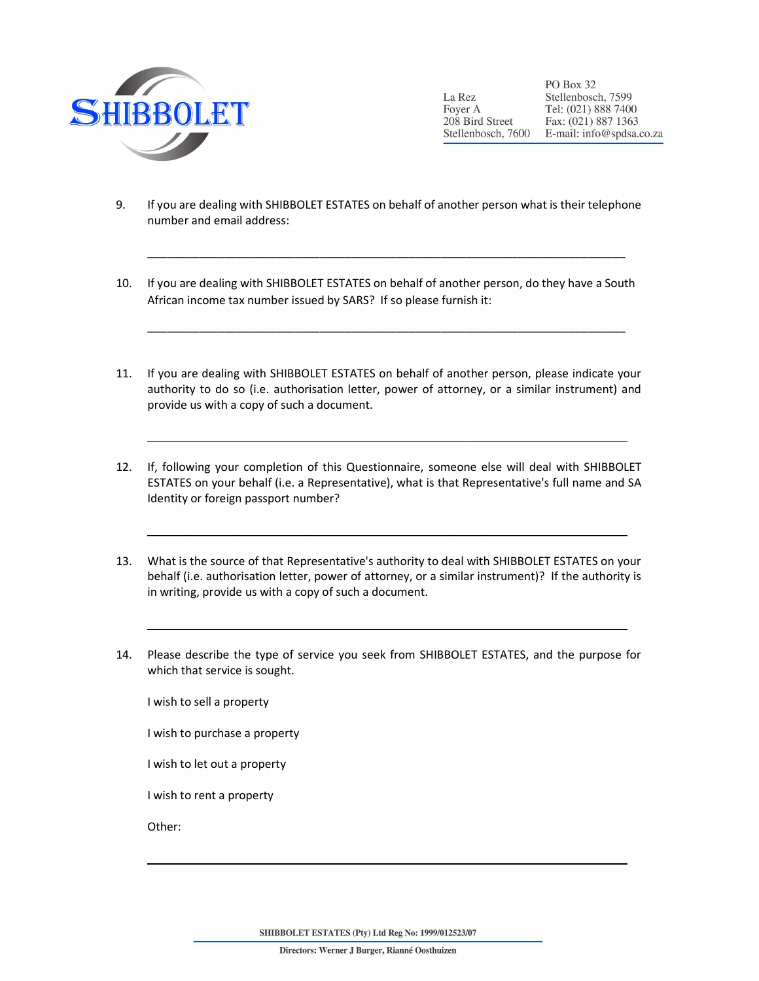

 $\overline{a}$ 

 $\overline{a}$ 

 $\overline{a}$ 

PO Box 32 Stellenbosch, 7599 La Rez Tel: (021) 888 7400 Foyer A 208 Bird Street Fax: (021) 887 1363 Stellenbosch, 7600 E-mail: info@spdsa.co.za

9. If you are dealing with SHIBBOLET ESTATES on behalf of another person what is their telephone number and email address:

\_\_\_\_\_\_\_\_\_\_\_\_\_\_\_\_\_\_\_\_\_\_\_\_\_\_\_\_\_\_\_\_\_\_\_\_\_\_\_\_\_\_\_\_\_\_\_\_\_\_\_\_\_\_\_\_\_\_\_\_\_\_\_\_\_\_\_\_\_\_\_\_\_\_\_

\_\_\_\_\_\_\_\_\_\_\_\_\_\_\_\_\_\_\_\_\_\_\_\_\_\_\_\_\_\_\_\_\_\_\_\_\_\_\_\_\_\_\_\_\_\_\_\_\_\_\_\_\_\_\_\_\_\_\_\_\_\_\_\_\_\_\_\_\_\_\_\_\_\_\_

- 10. If you are dealing with SHIBBOLET ESTATES on behalf of another person, do they have a South African income tax number issued by SARS? If so please furnish it:
- 11. If you are dealing with SHIBBOLET ESTATES on behalf of another person, please indicate your authority to do so (i.e. authorisation letter, power of attorney, or a similar instrument) and provide us with a copy of such a document.
- 12. If, following your completion of this Questionnaire, someone else will deal with SHIBBOLET ESTATES on your behalf (i.e. a Representative), what is that Representative's full name and SA Identity or foreign passport number?
- 13. What is the source of that Representative's authority to deal with SHIBBOLET ESTATES on your behalf (i.e. authorisation letter, power of attorney, or a similar instrument)? If the authority is in writing, provide us with a copy of such a document.
- 14. Please describe the type of service you seek from SHIBBOLET ESTATES, and the purpose for which that service is sought.

I wish to sell a property

I wish to purchase a property

I wish to let out a property

I wish to rent a property

Other:

l

SHIBBOLET ESTATES (Pty) Ltd Reg No: 1999/012523/07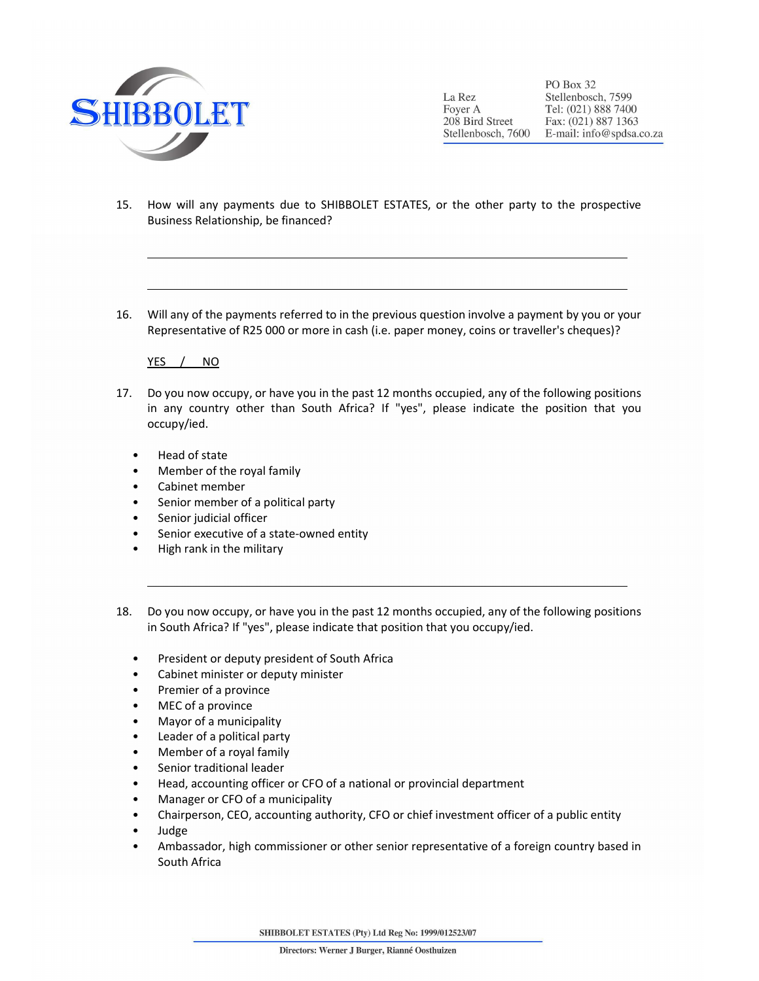

PO Box 32 La Rez Stellenbosch, 7599 Foyer A Tel: (021) 888 7400 208 Bird Street Fax: (021) 887 1363 Stellenbosch, 7600 E-mail: info@spdsa.co.za

- 15. How will any payments due to SHIBBOLET ESTATES, or the other party to the prospective Business Relationship, be financed?
- 16. Will any of the payments referred to in the previous question involve a payment by you or your Representative of R25 000 or more in cash (i.e. paper money, coins or traveller's cheques)?

YES / NO

- 17. Do you now occupy, or have you in the past 12 months occupied, any of the following positions in any country other than South Africa? If "yes", please indicate the position that you occupy/ied.
	- Head of state

 $\overline{a}$ 

- Member of the royal family
- Cabinet member
- Senior member of a political party
- Senior judicial officer
- Senior executive of a state-owned entity
- High rank in the military
- 18. Do you now occupy, or have you in the past 12 months occupied, any of the following positions in South Africa? If "yes", please indicate that position that you occupy/ied.
	- President or deputy president of South Africa
	- Cabinet minister or deputy minister
	- Premier of a province
	- MEC of a province
	- Mayor of a municipality
	- Leader of a political party
	- Member of a royal family
	- Senior traditional leader
	- Head, accounting officer or CFO of a national or provincial department
	- Manager or CFO of a municipality
	- Chairperson, CEO, accounting authority, CFO or chief investment officer of a public entity
	- Judge
	- Ambassador, high commissioner or other senior representative of a foreign country based in South Africa

SHIBBOLET ESTATES (Pty) Ltd Reg No: 1999/012523/07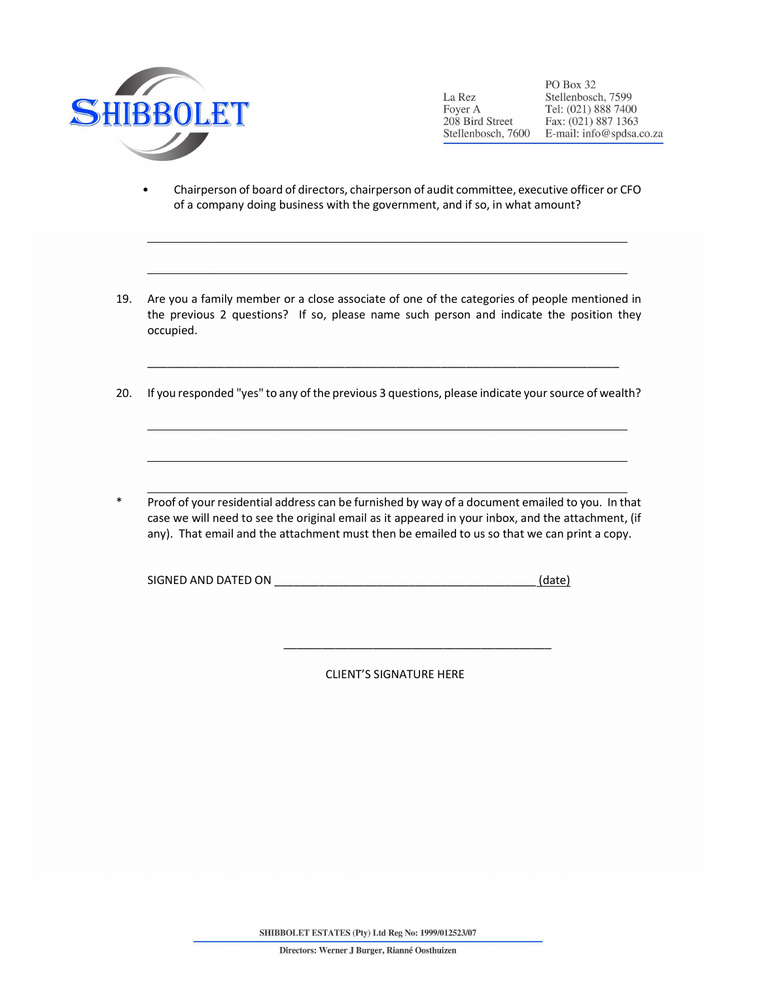

 $\overline{a}$ 

PO Box 32 Stellenbosch, 7599 La Rez Foyer A Tel: (021) 888 7400 208 Bird Street Fax: (021) 887 1363 Stellenbosch, 7600 E-mail: info@spdsa.co.za

- Chairperson of board of directors, chairperson of audit committee, executive officer or CFO of a company doing business with the government, and if so, in what amount?
- 19. Are you a family member or a close associate of one of the categories of people mentioned in the previous 2 questions? If so, please name such person and indicate the position they occupied.
- 20. If you responded "yes" to any of the previous 3 questions, please indicate your source of wealth?

\_\_\_\_\_\_\_\_\_\_\_\_\_\_\_\_\_\_\_\_\_\_\_\_\_\_\_\_\_\_\_\_\_\_\_\_\_\_\_\_\_\_\_\_\_\_\_\_\_\_\_\_\_\_\_\_\_\_\_\_\_\_\_\_\_\_\_\_\_\_\_\_\_\_

Proof of your residential address can be furnished by way of a document emailed to you. In that case we will need to see the original email as it appeared in your inbox, and the attachment, (if any). That email and the attachment must then be emailed to us so that we can print a copy.

| SIGNED AND DATED ON | (date |
|---------------------|-------|
|                     |       |

CLIENT'S SIGNATURE HERE

\_\_\_\_\_\_\_\_\_\_\_\_\_\_\_\_\_\_\_\_\_\_\_\_\_\_\_\_\_\_\_\_\_\_\_\_\_\_\_\_\_\_

SHIBBOLET ESTATES (Pty) Ltd Reg No: 1999/012523/07